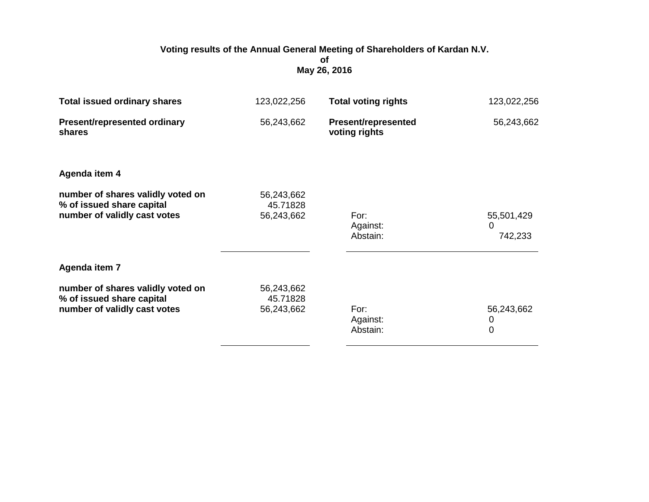## **Voting results of the Annual General Meeting of Shareholders of Kardan N.V. of May 26, 2016**

| <b>Total issued ordinary shares</b>                                                            | 123,022,256                          | <b>Total voting rights</b>                  | 123,022,256                       |
|------------------------------------------------------------------------------------------------|--------------------------------------|---------------------------------------------|-----------------------------------|
| <b>Present/represented ordinary</b><br>shares                                                  | 56,243,662                           | <b>Present/represented</b><br>voting rights | 56,243,662                        |
| Agenda item 4                                                                                  |                                      |                                             |                                   |
| number of shares validly voted on<br>% of issued share capital<br>number of validly cast votes | 56,243,662<br>45.71828<br>56,243,662 | For:<br>Against:<br>Abstain:                | 55,501,429<br>0<br>742,233        |
| Agenda item 7                                                                                  |                                      |                                             |                                   |
| number of shares validly voted on<br>% of issued share capital<br>number of validly cast votes | 56,243,662<br>45.71828<br>56,243,662 | For:<br>Against:<br>Abstain:                | 56,243,662<br>0<br>$\overline{0}$ |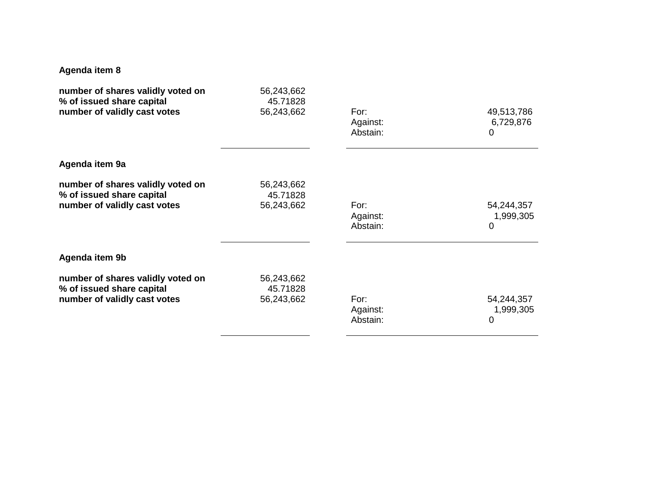## **Agenda item 8**

| number of shares validly voted on | 56,243,662 | For:     | 49,513,786 |
|-----------------------------------|------------|----------|------------|
| % of issued share capital         | 45.71828   | Against: | 6,729,876  |
| number of validly cast votes      | 56,243,662 | Abstain: | 0          |
| Agenda item 9a                    |            |          |            |
| number of shares validly voted on | 56,243,662 | For:     | 54,244,357 |
| % of issued share capital         | 45.71828   | Against: | 1,999,305  |
| number of validly cast votes      | 56,243,662 | Abstain: | 0          |
| Agenda item 9b                    |            |          |            |
| number of shares validly voted on | 56,243,662 | For:     | 54,244,357 |
| % of issued share capital         | 45.71828   | Against: | 1,999,305  |
| number of validly cast votes      | 56,243,662 | Abstain: | 0          |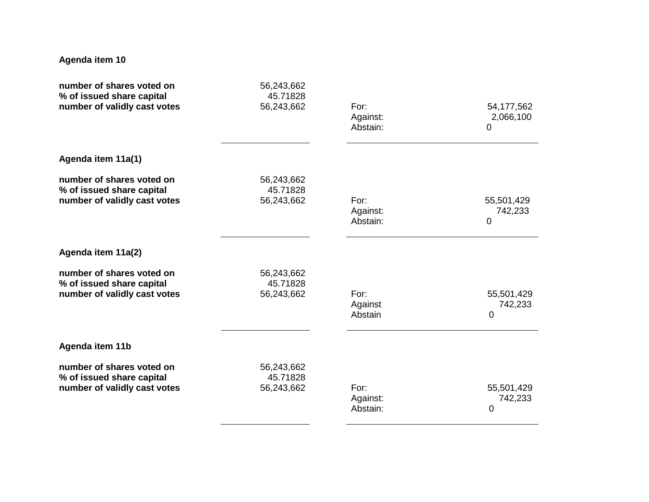## **Agenda item 10**

| number of shares voted on<br>% of issued share capital                                 | 56,243,662<br>45.71828               |                              |                                |
|----------------------------------------------------------------------------------------|--------------------------------------|------------------------------|--------------------------------|
| number of validly cast votes                                                           | 56,243,662                           | For:<br>Against:<br>Abstain: | 54, 177, 562<br>2,066,100<br>0 |
| Agenda item 11a(1)                                                                     |                                      |                              |                                |
| number of shares voted on<br>% of issued share capital<br>number of validly cast votes | 56,243,662<br>45.71828<br>56,243,662 | For:<br>Against:<br>Abstain: | 55,501,429<br>742,233<br>0     |
| Agenda item 11a(2)                                                                     |                                      |                              |                                |
| number of shares voted on<br>% of issued share capital<br>number of validly cast votes | 56,243,662<br>45.71828<br>56,243,662 | For:<br>Against<br>Abstain   | 55,501,429<br>742,233<br>0     |
| Agenda item 11b                                                                        |                                      |                              |                                |
| number of shares voted on<br>% of issued share capital<br>number of validly cast votes | 56,243,662<br>45.71828<br>56,243,662 | For:<br>Against:<br>Abstain: | 55,501,429<br>742,233<br>0     |